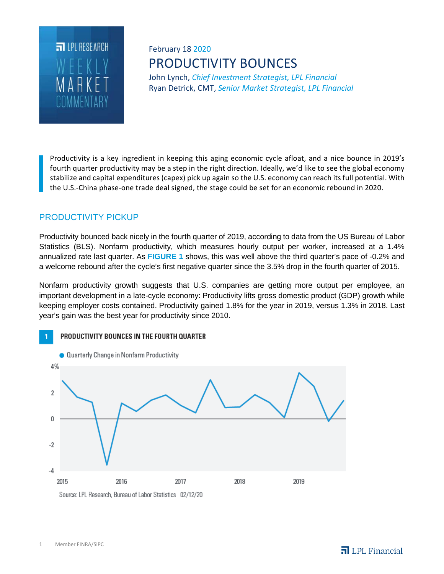

# February 18 2020 PRODUCTIVITY BOUNCES

John Lynch, *Chief Investment Strategist, LPL Financial* Ryan Detrick, CMT, *Senior Market Strategist, LPL Financial*

Productivity is a key ingredient in keeping this aging economic cycle afloat, and a nice bounce in 2019's fourth quarter productivity may be a step in the right direction. Ideally, we'd like to see the global economy stabilize and capital expenditures (capex) pick up again so the U.S. economy can reach its full potential. With the U.S.-China phase-one trade deal signed, the stage could be set for an economic rebound in 2020.

## PRODUCTIVITY PICKUP

Productivity bounced back nicely in the fourth quarter of 2019, according to data from the US Bureau of Labor Statistics (BLS). Nonfarm productivity, which measures hourly output per worker, increased at a 1.4% annualized rate last quarter. As **FIGURE 1** shows, this was well above the third quarter's pace of -0.2% and a welcome rebound after the cycle's first negative quarter since the 3.5% drop in the fourth quarter of 2015.

Nonfarm productivity growth suggests that U.S. companies are getting more output per employee, an important development in a late-cycle economy: Productivity lifts gross domestic product (GDP) growth while keeping employer costs contained. Productivity gained 1.8% for the year in 2019, versus 1.3% in 2018. Last year's gain was the best year for productivity since 2010.

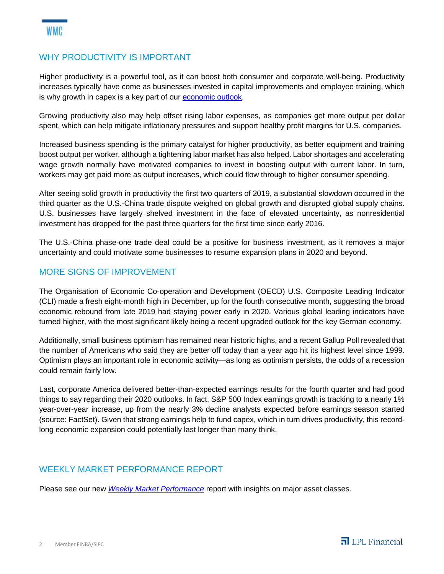### WHY PRODUCTIVITY IS IMPORTANT

Higher productivity is a powerful tool, as it can boost both consumer and corporate well-being. Productivity increases typically have come as businesses invested in capital improvements and employee training, which is why growth in capex is a key part of our economic outlook.

Growing productivity also may help offset rising labor expenses, as companies get more output per dollar spent, which can help mitigate inflationary pressures and support healthy profit margins for U.S. companies.

Increased business spending is the primary catalyst for higher productivity, as better equipment and training boost output per worker, although a tightening labor market has also helped. Labor shortages and accelerating wage growth normally have motivated companies to invest in boosting output with current labor. In turn, workers may get paid more as output increases, which could flow through to higher consumer spending.

After seeing solid growth in productivity the first two quarters of 2019, a substantial slowdown occurred in the third quarter as the U.S.-China trade dispute weighed on global growth and disrupted global supply chains. U.S. businesses have largely shelved investment in the face of elevated uncertainty, as nonresidential investment has dropped for the past three quarters for the first time since early 2016.

The U.S.-China phase-one trade deal could be a positive for business investment, as it removes a major uncertainty and could motivate some businesses to resume expansion plans in 2020 and beyond.

### MORE SIGNS OF IMPROVEMENT

The Organisation of Economic Co-operation and Development (OECD) U.S. Composite Leading Indicator (CLI) made a fresh eight-month high in December, up for the fourth consecutive month, suggesting the broad economic rebound from late 2019 had staying power early in 2020. Various global leading indicators have turned higher, with the most significant likely being a recent upgraded outlook for the key German economy.

Additionally, small business optimism has remained near historic highs, and a recent Gallup Poll revealed that the number of Americans who said they are better off today than a year ago hit its highest level since 1999. Optimism plays an important role in economic activity—as long as optimism persists, the odds of a recession could remain fairly low.

Last, corporate America delivered better-than-expected earnings results for the fourth quarter and had good things to say regarding their 2020 outlooks. In fact, S&P 500 Index earnings growth is tracking to a nearly 1% year-over-year increase, up from the nearly 3% decline analysts expected before earnings season started (source: FactSet). Given that strong earnings help to fund capex, which in turn drives productivity, this recordlong economic expansion could potentially last longer than many think.

### WEEKLY MARKET PERFORMANCE REPORT

Please see our new *Weekly Market Performance* report with insights on major asset classes.